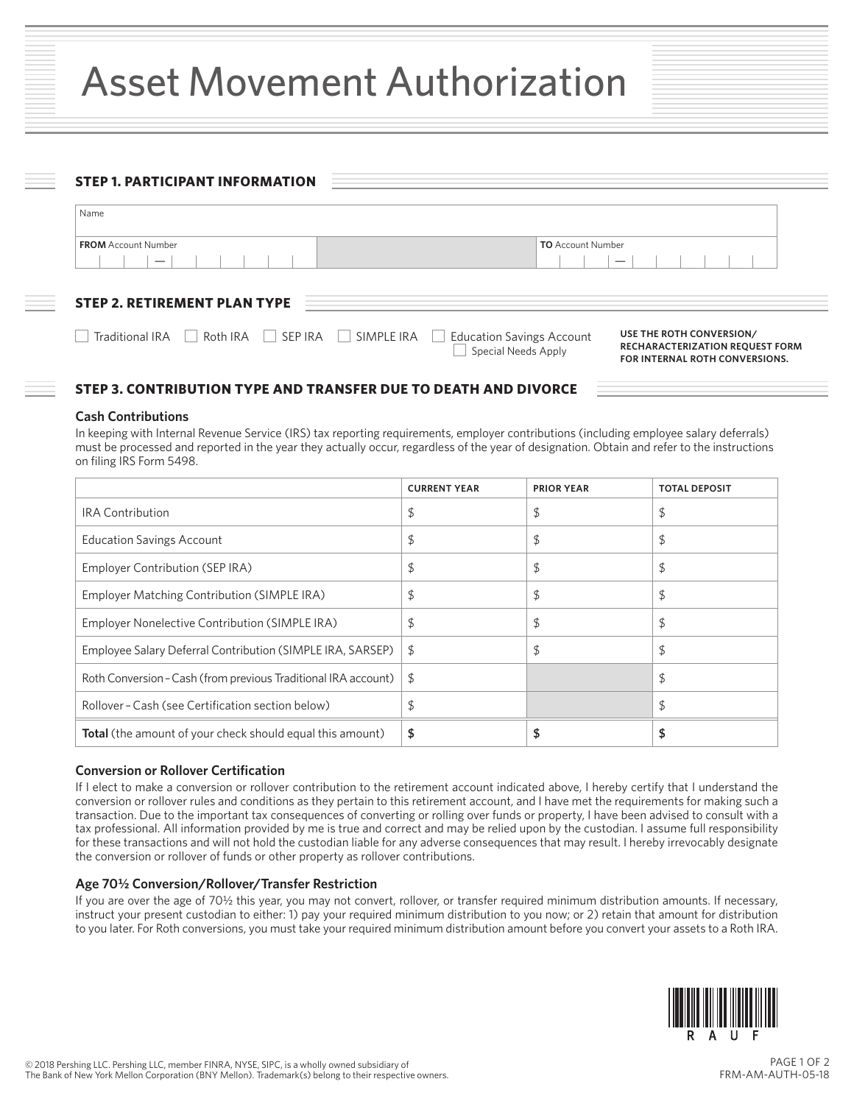# Asset Movement Authorization

| <b>FROM</b> Account Number<br><b>TO</b> Account Number |                                     |  |
|--------------------------------------------------------|-------------------------------------|--|
|                                                        |                                     |  |
|                                                        |                                     |  |
|                                                        |                                     |  |
|                                                        | <b>STEP 2. RETIREMENT PLAN TYPE</b> |  |

# **STEP 3. CONTRIBUTION TYPE AND TRANSFER DUE TO DEATH AND DIVORCE**

#### **Cash Contributions**

In keeping with Internal Revenue Service (IRS) tax reporting requirements, employer contributions (including employee salary deferrals) must be processed and reported in the year they actually occur, regardless of the year of designation. Obtain and refer to the instructions on filing IRS Form 5498.

|                                                                  | <b>CURRENT YEAR</b> | <b>PRIOR YEAR</b> | <b>TOTAL DEPOSIT</b> |
|------------------------------------------------------------------|---------------------|-------------------|----------------------|
| <b>IRA Contribution</b>                                          | \$                  | \$                | \$                   |
| <b>Education Savings Account</b>                                 | \$                  | \$                | \$                   |
| Employer Contribution (SEP IRA)                                  | \$                  | \$                | \$                   |
| Employer Matching Contribution (SIMPLE IRA)                      | \$                  | \$                | \$                   |
| Employer Nonelective Contribution (SIMPLE IRA)                   | \$                  |                   | \$                   |
| Employee Salary Deferral Contribution (SIMPLE IRA, SARSEP)       | \$                  | \$                | \$                   |
| Roth Conversion - Cash (from previous Traditional IRA account)   | \$                  |                   | \$                   |
| Rollover - Cash (see Certification section below)                | \$                  |                   | \$                   |
| <b>Total</b> (the amount of your check should equal this amount) | \$                  |                   |                      |

## **Conversion or Rollover Certification**

If I elect to make a conversion or rollover contribution to the retirement account indicated above, I hereby certify that I understand the conversion or rollover rules and conditions as they pertain to this retirement account, and I have met the requirements for making such a transaction. Due to the important tax consequences of converting or rolling over funds or property, I have been advised to consult with a tax professional. All information provided by me is true and correct and may be relied upon by the custodian. I assume full responsibility for these transactions and will not hold the custodian liable for any adverse consequences that may result. I hereby irrevocably designate the conversion or rollover of funds or other property as rollover contributions.

#### **Age 701/2 Conversion/Rollover/Transfer Restriction**

If you are over the age of 701/2 this year, you may not convert, rollover, or transfer required minimum distribution amounts. If necessary, instruct your present custodian to either: 1) pay your required minimum distribution to you now; or 2) retain that amount for distribution to you later. For Roth conversions, you must take your required minimum distribution amount before you convert your assets to a Roth IRA.